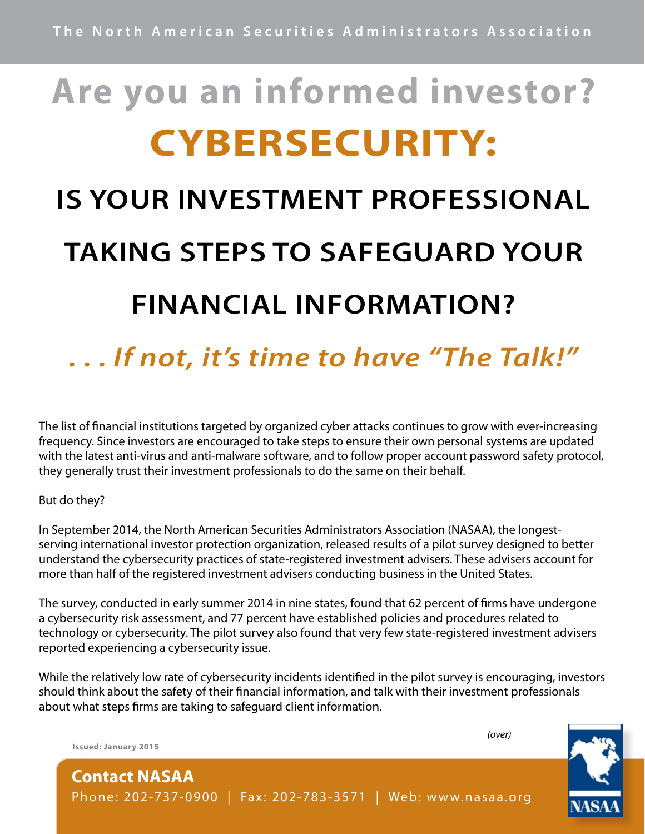## **Are you an informed investor? CYBERSECURITY:**

# **IS YOUR INVESTMENT PROFESSIONAL TAKING STEPS TO SAFEGUARD YOUR FINANCIAL INFORMATION?**

## *. . . If not, it's time to have "The Talk!"*

The list of financial institutions targeted by organized cyber attacks continues to grow with ever-increasing frequency. Since investors are encouraged to take steps to ensure their own personal systems are updated with the latest anti-virus and anti-malware software, and to follow proper account password safety protocol, they generally trust their investment professionals to do the same on their behalf.

But do they?

In September 2014, the North American Securities Administrators Association (NASAA), the longestserving international investor protection organization, released results of a pilot survey designed to better understand the cybersecurity practices of state-registered investment advisers. These advisers account for more than half of the registered investment advisers conducting business in the United States.

The survey, conducted in early summer 2014 in nine states, found that 62 percent of firms have undergone a cybersecurity risk assessment, and 77 percent have established policies and procedures related to technology or cybersecurity. The pilot survey also found that very few state-registered investment advisers reported experiencing a cybersecurity issue.

While the relatively low rate of cybersecurity incidents identified in the pilot survey is encouraging, investors should think about the safety of their financial information, and talk with their investment professionals about what steps firms are taking to safeguard client information.

 *(over)*



**Issued: January 2015**

**Contact NASAA**  Phone: 202-737-0900 | Fax: 202-783-3571 | Web: www.nasaa.org